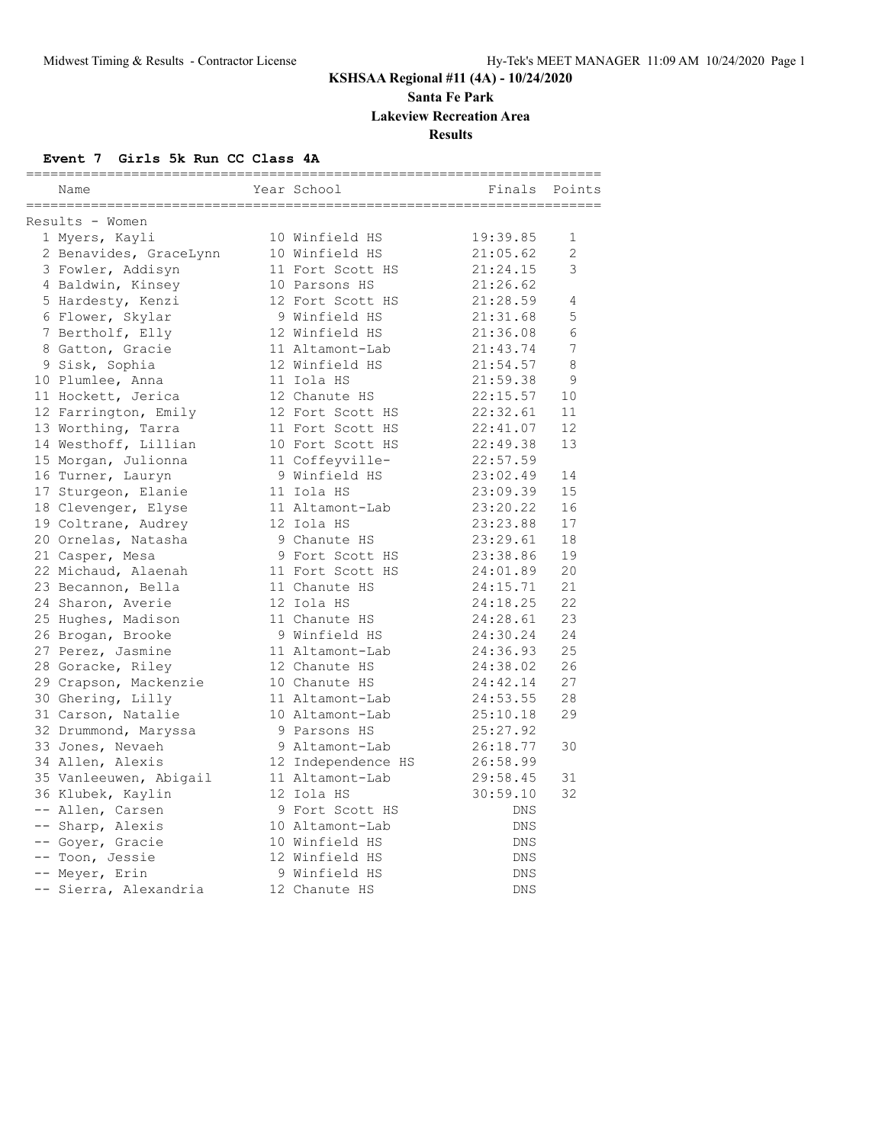**Santa Fe Park**

**Lakeview Recreation Area**

**Results**

#### **Event 7 Girls 5k Run CC Class 4A**

| Name                   | Year School        | Finals     | Points         |
|------------------------|--------------------|------------|----------------|
| Results - Women        |                    |            |                |
| 1 Myers, Kayli         | 10 Winfield HS     | 19:39.85   | 1              |
| 2 Benavides, GraceLynn | 10 Winfield HS     | 21:05.62   | $\overline{2}$ |
| 3 Fowler, Addisyn      | 11 Fort Scott HS   | 21:24.15   | 3              |
| 4 Baldwin, Kinsey      | 10 Parsons HS      | 21:26.62   |                |
| 5 Hardesty, Kenzi      | 12 Fort Scott HS   | 21:28.59   | 4              |
| 6 Flower, Skylar       | 9 Winfield HS      | 21:31.68   | 5              |
| 7 Bertholf, Elly       | 12 Winfield HS     | 21:36.08   | 6              |
| 8 Gatton, Gracie       | 11 Altamont-Lab    | 21:43.74   | 7              |
| 9 Sisk, Sophia         | 12 Winfield HS     | 21:54.57   | 8              |
| 10 Plumlee, Anna       | 11 Iola HS         | 21:59.38   | 9              |
| 11 Hockett, Jerica     | 12 Chanute HS      | 22:15.57   | 10             |
| 12 Farrington, Emily   | 12 Fort Scott HS   | 22:32.61   | 11             |
| 13 Worthing, Tarra     | 11 Fort Scott HS   | 22:41.07   | 12             |
| 14 Westhoff, Lillian   | 10 Fort Scott HS   | 22:49.38   | 13             |
| 15 Morgan, Julionna    | 11 Coffeyville-    | 22:57.59   |                |
| 16 Turner, Lauryn      | 9 Winfield HS      | 23:02.49   | 14             |
| 17 Sturgeon, Elanie    | 11 Iola HS         | 23:09.39   | 15             |
| 18 Clevenger, Elyse    | 11 Altamont-Lab    | 23:20.22   | 16             |
| 19 Coltrane, Audrey    | 12 Iola HS         | 23:23.88   | 17             |
| 20 Ornelas, Natasha    | 9 Chanute HS       | 23:29.61   | 18             |
| 21 Casper, Mesa        | 9 Fort Scott HS    | 23:38.86   | 19             |
| 22 Michaud, Alaenah    | 11 Fort Scott HS   | 24:01.89   | 20             |
| 23 Becannon, Bella     | 11 Chanute HS      | 24:15.71   | 21             |
| 24 Sharon, Averie      | 12 Iola HS         | 24:18.25   | 22             |
| 25 Hughes, Madison     | 11 Chanute HS      | 24:28.61   | 23             |
| 26 Brogan, Brooke      | 9 Winfield HS      | 24:30.24   | 24             |
| 27 Perez, Jasmine      | 11 Altamont-Lab    | 24:36.93   | 25             |
| 28 Goracke, Riley      | 12 Chanute HS      | 24:38.02   | 26             |
| 29 Crapson, Mackenzie  | 10 Chanute HS      | 24:42.14   | 27             |
| 30 Ghering, Lilly      | 11 Altamont-Lab    | 24:53.55   | 28             |
| 31 Carson, Natalie     | 10 Altamont-Lab    | 25:10.18   | 29             |
| 32 Drummond, Maryssa   | 9 Parsons HS       | 25:27.92   |                |
| 33 Jones, Nevaeh       | 9 Altamont-Lab     | 26:18.77   | 30             |
| 34 Allen, Alexis       | 12 Independence HS | 26:58.99   |                |
| 35 Vanleeuwen, Abigail | 11 Altamont-Lab    | 29:58.45   | 31             |
| 36 Klubek, Kaylin      | 12 Iola HS         | 30:59.10   | 32             |
| -- Allen, Carsen       | 9 Fort Scott HS    | DNS        |                |
| -- Sharp, Alexis       | 10 Altamont-Lab    | DNS        |                |
| -- Goyer, Gracie       | 10 Winfield HS     | DNS        |                |
| -- Toon, Jessie        | 12 Winfield HS     | <b>DNS</b> |                |
| -- Meyer, Erin         | 9 Winfield HS      | <b>DNS</b> |                |
| -- Sierra, Alexandria  | 12 Chanute HS      | <b>DNS</b> |                |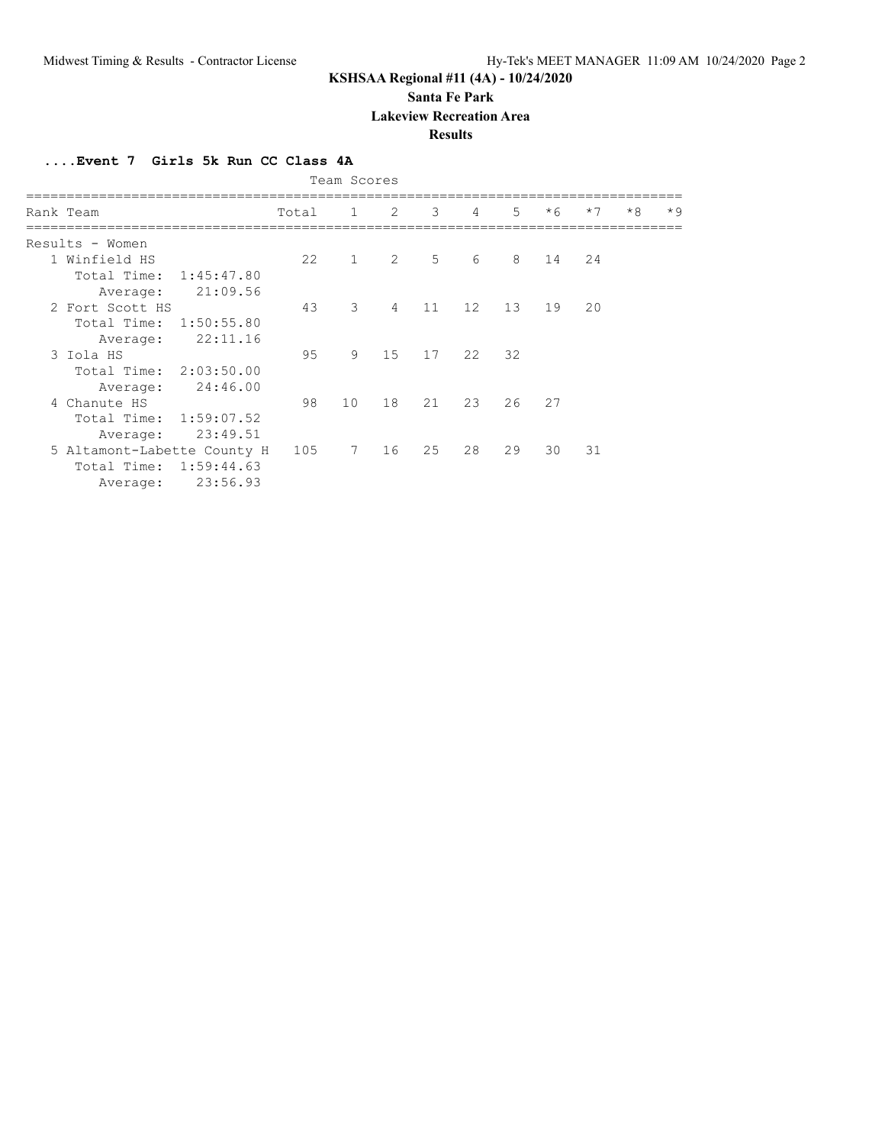**Santa Fe Park**

**Lakeview Recreation Area**

#### **Results**

**....Event 7 Girls 5k Run CC Class 4A**

| Team Scores |                             |            |       |                |                |    |                |    |      |      |      |      |
|-------------|-----------------------------|------------|-------|----------------|----------------|----|----------------|----|------|------|------|------|
|             | Rank Team                   |            | Total | $\overline{1}$ | 2              | 3  | $\overline{4}$ | 5  | $*6$ | $*7$ | $*8$ | $*9$ |
|             | Results - Women             |            |       |                |                |    |                |    |      |      |      |      |
|             | 1 Winfield HS               |            | 22    | $\mathbf{1}$   | 2              | 5  | 6              | 8  | 14   | 24   |      |      |
|             | Total Time:                 | 1:45:47.80 |       |                |                |    |                |    |      |      |      |      |
|             | Average:                    | 21:09.56   |       |                |                |    |                |    |      |      |      |      |
|             | 2 Fort Scott HS             |            | 43    | 3              | $\overline{4}$ | 11 | 12             | 13 | 19   | 20   |      |      |
|             | Total Time:                 | 1:50:55.80 |       |                |                |    |                |    |      |      |      |      |
|             | Average:                    | 22:11.16   |       |                |                |    |                |    |      |      |      |      |
|             | 3 Iola HS                   |            | 95    | 9              | 15             | 17 | 22             | 32 |      |      |      |      |
|             | Total Time: 2:03:50.00      |            |       |                |                |    |                |    |      |      |      |      |
|             | Average:                    | 24:46.00   |       |                |                |    |                |    |      |      |      |      |
|             | 4 Chanute HS                |            | 98    | 10             | 18             | 21 | 23             | 26 | 2.7  |      |      |      |
|             | Total Time:                 | 1:59:07.52 |       |                |                |    |                |    |      |      |      |      |
|             | Average:                    | 23:49.51   |       |                |                |    |                |    |      |      |      |      |
|             | 5 Altamont-Labette County H |            | 105   | $7^{\circ}$    | 16             | 25 | 28             | 29 | 30   | 31   |      |      |
|             | Total Time:                 | 1:59:44.63 |       |                |                |    |                |    |      |      |      |      |
|             | Average:                    | 23:56.93   |       |                |                |    |                |    |      |      |      |      |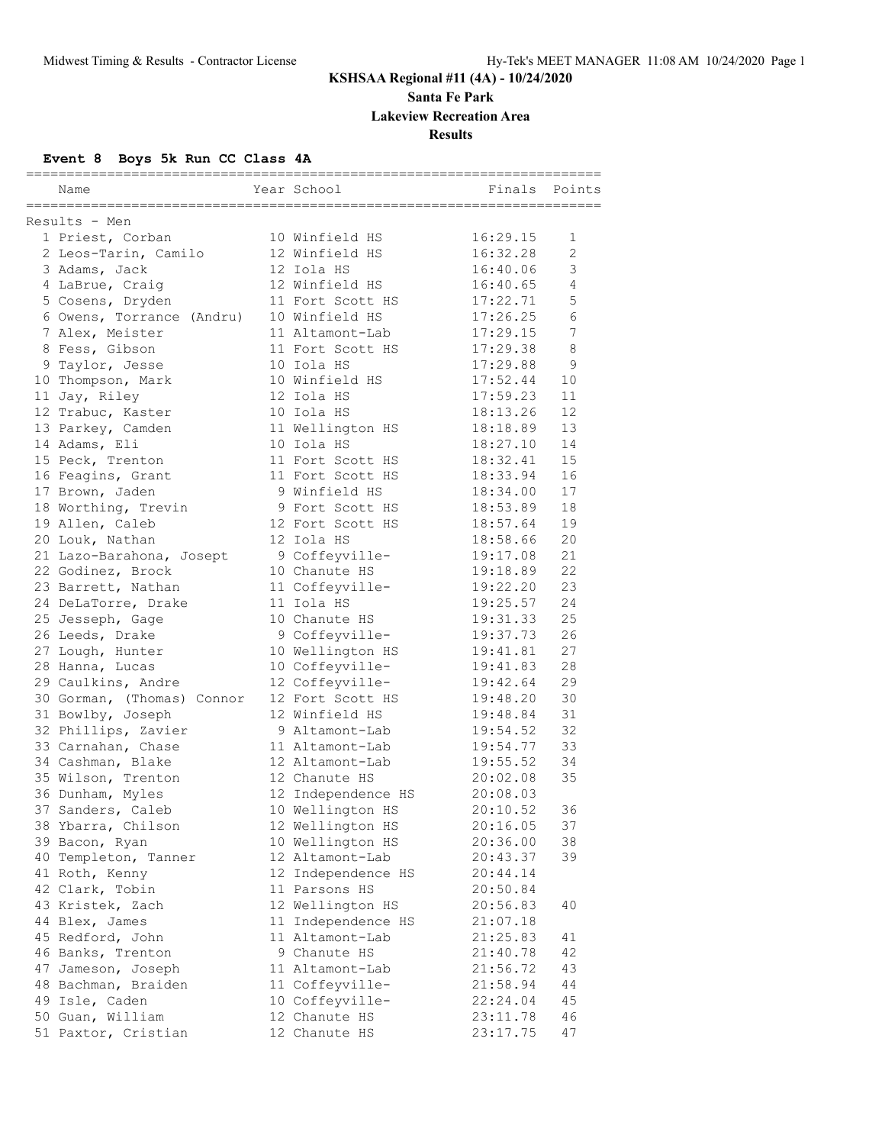**Santa Fe Park**

**Lakeview Recreation Area**

**Results**

# **Event 8 Boys 5k Run CC Class 4A**

| Name                                   | Year School                            | _____________________________<br>Finals | Points         |
|----------------------------------------|----------------------------------------|-----------------------------------------|----------------|
| Results - Men                          |                                        |                                         |                |
| 1 Priest, Corban                       | 10 Winfield HS                         | 16:29.15                                | 1              |
| 2 Leos-Tarin, Camilo                   | 12 Winfield HS                         | 16:32.28                                | $\overline{2}$ |
| 3 Adams, Jack                          | 12 Iola HS                             | 16:40.06                                | 3              |
| 4 LaBrue, Craig                        | 12 Winfield HS                         | 16:40.65                                | $\overline{4}$ |
| 5 Cosens, Dryden                       | 11 Fort Scott HS                       | 17:22.71                                | 5              |
| 6 Owens, Torrance (Andru)              | 10 Winfield HS                         | 17:26.25                                | 6              |
| 7 Alex, Meister                        | 11 Altamont-Lab                        | 17:29.15                                | $\sqrt{ }$     |
| 8 Fess, Gibson                         | 11 Fort Scott HS                       | 17:29.38                                | 8              |
| 9 Taylor, Jesse                        | 10 Iola HS                             | 17:29.88                                | 9              |
| 10 Thompson, Mark                      | 10 Winfield HS                         | 17:52.44                                | 10             |
| 11 Jay, Riley                          | 12 Iola HS                             | 17:59.23                                | 11             |
| 12 Trabuc, Kaster                      | 10 Iola HS                             | 18:13.26                                | 12             |
| 13 Parkey, Camden                      | 11 Wellington HS                       | 18:18.89                                | 13             |
| 14 Adams, Eli                          | 10 Iola HS                             | 18:27.10                                | 14             |
| 15 Peck, Trenton                       | 11 Fort Scott HS                       | 18:32.41                                | 15             |
| 16 Feagins, Grant                      | 11 Fort Scott HS                       | 18:33.94                                | 16             |
| 17 Brown, Jaden                        | 9 Winfield HS                          | 18:34.00                                | 17             |
| 18 Worthing, Trevin                    | 9 Fort Scott HS                        | 18:53.89                                | 18             |
| 19 Allen, Caleb                        | 12 Fort Scott HS                       | 18:57.64                                | 19             |
| 20 Louk, Nathan                        | 12 Iola HS                             | 18:58.66                                | 20             |
| 21 Lazo-Barahona, Josept               | 9 Coffeyville-                         | 19:17.08                                | 21             |
| 22 Godinez, Brock                      | 10 Chanute HS                          | 19:18.89                                | 22             |
| 23 Barrett, Nathan                     | 11 Coffeyville-                        | 19:22.20                                | 23             |
| 24 DeLaTorre, Drake                    | 11 Iola HS                             | 19:25.57                                | 24             |
| 25 Jesseph, Gage                       | 10 Chanute HS                          | 19:31.33                                | 25             |
| 26 Leeds, Drake                        | 9 Coffeyville-                         | 19:37.73                                | 26             |
| 27 Lough, Hunter                       | 10 Wellington HS                       | 19:41.81                                | 27             |
| 28 Hanna, Lucas                        | 10 Coffeyville-                        | 19:41.83                                | 28             |
| 29 Caulkins, Andre                     | 12 Coffeyville-                        | 19:42.64                                | 29             |
| 30 Gorman, (Thomas) Connor             | 12 Fort Scott HS                       | 19:48.20                                | 30             |
| 31 Bowlby, Joseph                      | 12 Winfield HS                         | 19:48.84                                | 31             |
| 32 Phillips, Zavier                    | 9 Altamont-Lab                         | 19:54.52                                | 32             |
| 33 Carnahan, Chase                     | 11 Altamont-Lab                        | 19:54.77                                | 33             |
| 34 Cashman, Blake                      | 12 Altamont-Lab                        | 19:55.52                                | 34             |
| 35 Wilson, Trenton                     | 12 Chanute HS                          | 20:02.08                                | 35             |
| 36 Dunham, Myles                       | 12 Independence HS                     | 20:08.03                                |                |
| 37 Sanders, Caleb                      | 10 Wellington HS                       | 20:10.52                                | 36             |
| 38 Ybarra, Chilson                     | 12 Wellington HS                       | 20:16.05<br>20:36.00                    | 37             |
| 39 Bacon, Ryan                         | 10 Wellington HS<br>12 Altamont-Lab    |                                         | 38             |
| 40 Templeton, Tanner<br>41 Roth, Kenny | 12 Independence HS                     | 20:43.37                                | 39             |
|                                        | 11 Parsons HS                          | 20:44.14<br>20:50.84                    |                |
| 42 Clark, Tobin                        |                                        |                                         | 40             |
| 43 Kristek, Zach<br>44 Blex, James     | 12 Wellington HS<br>11 Independence HS | 20:56.83<br>21:07.18                    |                |
| 45 Redford, John                       | 11 Altamont-Lab                        | 21:25.83                                | 41             |
| 46 Banks, Trenton                      | 9 Chanute HS                           | 21:40.78                                | 42             |
| 47 Jameson, Joseph                     | 11 Altamont-Lab                        | 21:56.72                                | 43             |
| 48 Bachman, Braiden                    | 11 Coffeyville-                        | 21:58.94                                | 44             |
| 49 Isle, Caden                         | 10 Coffeyville-                        | 22:24.04                                | 45             |
| 50 Guan, William                       | 12 Chanute HS                          | 23:11.78                                | 46             |
| 51 Paxtor, Cristian                    | 12 Chanute HS                          | 23:17.75                                | 47             |
|                                        |                                        |                                         |                |